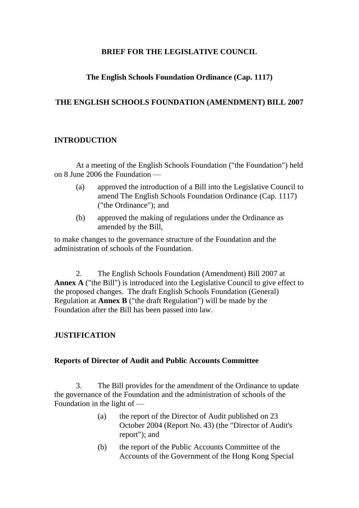### **BRIEF FOR THE LEGISLATIVE COUNCIL**

### **The English Schools Foundation Ordinance (Cap. 1117)**

### **THE ENGLISH SCHOOLS FOUNDATION (AMENDMENT) BILL 2007**

#### **INTRODUCTION**

At a meeting of the English Schools Foundation ("the Foundation") held on 8 June 2006 the Foundation —

- (a) approved the introduction of a Bill into the Legislative Council to amend The English Schools Foundation Ordinance (Cap. 1117) ("the Ordinance"); and
- (b) approved the making of regulations under the Ordinance as amended by the Bill,

to make changes to the governance structure of the Foundation and the administration of schools of the Foundation.

2. The English Schools Foundation (Amendment) Bill 2007 at **Annex A** ("the Bill") is introduced into the Legislative Council to give effect to the proposed changes. The draft English Schools Foundation (General) Regulation at **Annex B** ("the draft Regulation") will be made by the Foundation after the Bill has been passed into law.

### **JUSTIFICATION**

#### **Reports of Director of Audit and Public Accounts Committee**

3. The Bill provides for the amendment of the Ordinance to update the governance of the Foundation and the administration of schools of the Foundation in the light of —

- (a) the report of the Director of Audit published on 23 October 2004 (Report No. 43) (the "Director of Audit's report"); and
- (b) the report of the Public Accounts Committee of the Accounts of the Government of the Hong Kong Special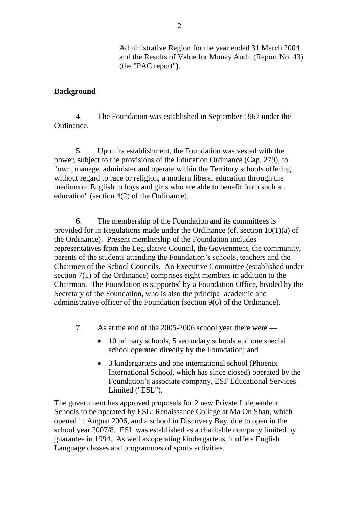Administrative Region for the year ended 31 March 2004 and the Results of Value for Money Audit (Report No. 43) (the "PAC report").

#### **Background**

4. The Foundation was established in September 1967 under the Ordinance.

5. Upon its establishment, the Foundation was vested with the power, subject to the provisions of the Education Ordinance (Cap. 279), to "own, manage, administer and operate within the Territory schools offering, without regard to race or religion, a modern liberal education through the medium of English to boys and girls who are able to benefit from such an education" (section 4(2) of the Ordinance).

6. The membership of the Foundation and its committees is provided for in Regulations made under the Ordinance (cf. section 10(1)(a) of the Ordinance). Present membership of the Foundation includes representatives from the Legislative Council, the Government, the community, parents of the students attending the Foundation's schools, teachers and the Chairmen of the School Councils. An Executive Committee (established under section 7(1) of the Ordinance) comprises eight members in addition to the Chairman. The Foundation is supported by a Foundation Office, headed by the Secretary of the Foundation, who is also the principal academic and administrative officer of the Foundation (section 9(6) of the Ordinance).

- 7. As at the end of the 2005-2006 school year there were
	- 10 primary schools, 5 secondary schools and one special school operated directly by the Foundation; and
	- 3 kindergartens and one international school (Phoenix International School, which has since closed) operated by the Foundation's associate company, ESF Educational Services Limited ("ESL").

The government has approved proposals for 2 new Private Independent Schools to be operated by ESL: Renaissance College at Ma On Shan, which opened in August 2006, and a school in Discovery Bay, due to open in the school year 2007/8. ESL was established as a charitable company limited by guarantee in 1994. As well as operating kindergartens, it offers English Language classes and programmes of sports activities.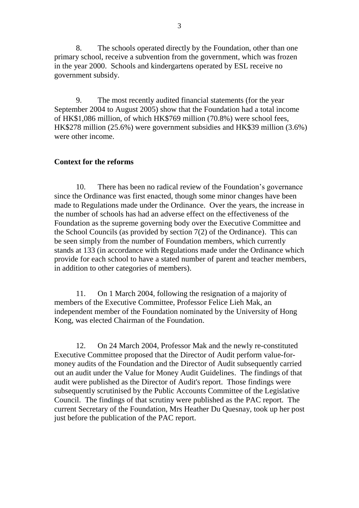8. The schools operated directly by the Foundation, other than one primary school, receive a subvention from the government, which was frozen in the year 2000. Schools and kindergartens operated by ESL receive no government subsidy.

9. The most recently audited financial statements (for the year September 2004 to August 2005) show that the Foundation had a total income of HK\$1,086 million, of which HK\$769 million (70.8%) were school fees, HK\$278 million (25.6%) were government subsidies and HK\$39 million (3.6%) were other income.

#### **Context for the reforms**

10. There has been no radical review of the Foundation's governance since the Ordinance was first enacted, though some minor changes have been made to Regulations made under the Ordinance. Over the years, the increase in the number of schools has had an adverse effect on the effectiveness of the Foundation as the supreme governing body over the Executive Committee and the School Councils (as provided by section 7(2) of the Ordinance). This can be seen simply from the number of Foundation members, which currently stands at 133 (in accordance with Regulations made under the Ordinance which provide for each school to have a stated number of parent and teacher members, in addition to other categories of members).

11. On 1 March 2004, following the resignation of a majority of members of the Executive Committee, Professor Felice Lieh Mak, an independent member of the Foundation nominated by the University of Hong Kong, was elected Chairman of the Foundation.

12. On 24 March 2004, Professor Mak and the newly re-constituted Executive Committee proposed that the Director of Audit perform value-formoney audits of the Foundation and the Director of Audit subsequently carried out an audit under the Value for Money Audit Guidelines. The findings of that audit were published as the Director of Audit's report. Those findings were subsequently scrutinised by the Public Accounts Committee of the Legislative Council. The findings of that scrutiny were published as the PAC report. The current Secretary of the Foundation, Mrs Heather Du Quesnay, took up her post just before the publication of the PAC report.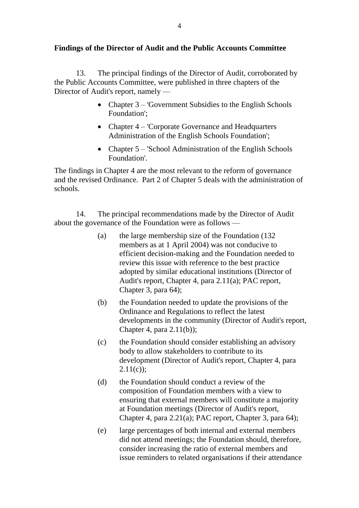### **Findings of the Director of Audit and the Public Accounts Committee**

13. The principal findings of the Director of Audit, corroborated by the Public Accounts Committee, were published in three chapters of the Director of Audit's report, namely —

- Chapter 3 'Government Subsidies to the English Schools Foundation';
- Chapter 4 'Corporate Governance and Headquarters' Administration of the English Schools Foundation';
- Chapter 5 'School Administration of the English Schools Foundation'.

The findings in Chapter 4 are the most relevant to the reform of governance and the revised Ordinance. Part 2 of Chapter 5 deals with the administration of schools.

14. The principal recommendations made by the Director of Audit about the governance of the Foundation were as follows —

- (a) the large membership size of the Foundation (132 members as at 1 April 2004) was not conducive to efficient decision-making and the Foundation needed to review this issue with reference to the best practice adopted by similar educational institutions (Director of Audit's report, Chapter 4, para 2.11(a); PAC report, Chapter 3, para 64);
- (b) the Foundation needed to update the provisions of the Ordinance and Regulations to reflect the latest developments in the community (Director of Audit's report, Chapter 4, para  $2.11(b)$ ;
- (c) the Foundation should consider establishing an advisory body to allow stakeholders to contribute to its development (Director of Audit's report, Chapter 4, para  $2.11(c)$ ;
- (d) the Foundation should conduct a review of the composition of Foundation members with a view to ensuring that external members will constitute a majority at Foundation meetings (Director of Audit's report, Chapter 4, para 2.21(a); PAC report, Chapter 3, para 64);
- (e) large percentages of both internal and external members did not attend meetings; the Foundation should, therefore, consider increasing the ratio of external members and issue reminders to related organisations if their attendance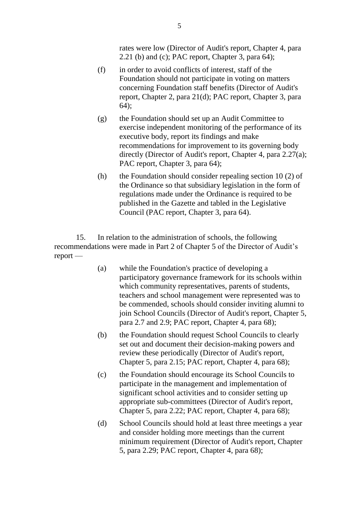rates were low (Director of Audit's report, Chapter 4, para 2.21 (b) and (c); PAC report, Chapter 3, para 64);

- (f) in order to avoid conflicts of interest, staff of the Foundation should not participate in voting on matters concerning Foundation staff benefits (Director of Audit's report, Chapter 2, para 21(d); PAC report, Chapter 3, para 64);
- (g) the Foundation should set up an Audit Committee to exercise independent monitoring of the performance of its executive body, report its findings and make recommendations for improvement to its governing body directly (Director of Audit's report, Chapter 4, para 2.27(a); PAC report, Chapter 3, para 64);
- (h) the Foundation should consider repealing section 10 (2) of the Ordinance so that subsidiary legislation in the form of regulations made under the Ordinance is required to be published in the Gazette and tabled in the Legislative Council (PAC report, Chapter 3, para 64).

15. In relation to the administration of schools, the following recommendations were made in Part 2 of Chapter 5 of the Director of Audit's report —

- (a) while the Foundation's practice of developing a participatory governance framework for its schools within which community representatives, parents of students, teachers and school management were represented was to be commended, schools should consider inviting alumni to join School Councils (Director of Audit's report, Chapter 5, para 2.7 and 2.9; PAC report, Chapter 4, para 68);
- (b) the Foundation should request School Councils to clearly set out and document their decision-making powers and review these periodically (Director of Audit's report, Chapter 5, para 2.15; PAC report, Chapter 4, para 68);
- (c) the Foundation should encourage its School Councils to participate in the management and implementation of significant school activities and to consider setting up appropriate sub-committees (Director of Audit's report, Chapter 5, para 2.22; PAC report, Chapter 4, para 68);
- (d) School Councils should hold at least three meetings a year and consider holding more meetings than the current minimum requirement (Director of Audit's report, Chapter 5, para 2.29; PAC report, Chapter 4, para 68);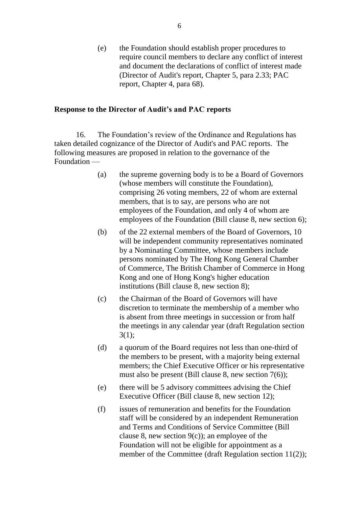(e) the Foundation should establish proper procedures to require council members to declare any conflict of interest and document the declarations of conflict of interest made (Director of Audit's report, Chapter 5, para 2.33; PAC report, Chapter 4, para 68).

#### **Response to the Director of Audit's and PAC reports**

16. The Foundation's review of the Ordinance and Regulations has taken detailed cognizance of the Director of Audit's and PAC reports. The following measures are proposed in relation to the governance of the Foundation —

- (a) the supreme governing body is to be a Board of Governors (whose members will constitute the Foundation), comprising 26 voting members, 22 of whom are external members, that is to say, are persons who are not employees of the Foundation, and only 4 of whom are employees of the Foundation (Bill clause 8, new section 6);
- (b) of the 22 external members of the Board of Governors, 10 will be independent community representatives nominated by a Nominating Committee, whose members include persons nominated by The Hong Kong General Chamber of Commerce, The British Chamber of Commerce in Hong Kong and one of Hong Kong's higher education institutions (Bill clause 8, new section 8);
- (c) the Chairman of the Board of Governors will have discretion to terminate the membership of a member who is absent from three meetings in succession or from half the meetings in any calendar year (draft Regulation section 3(1);
- (d) a quorum of the Board requires not less than one-third of the members to be present, with a majority being external members; the Chief Executive Officer or his representative must also be present (Bill clause 8, new section 7(6));
- (e) there will be 5 advisory committees advising the Chief Executive Officer (Bill clause 8, new section 12);
- (f) issues of remuneration and benefits for the Foundation staff will be considered by an independent Remuneration and Terms and Conditions of Service Committee (Bill clause 8, new section  $9(c)$ ; an employee of the Foundation will not be eligible for appointment as a member of the Committee (draft Regulation section 11(2));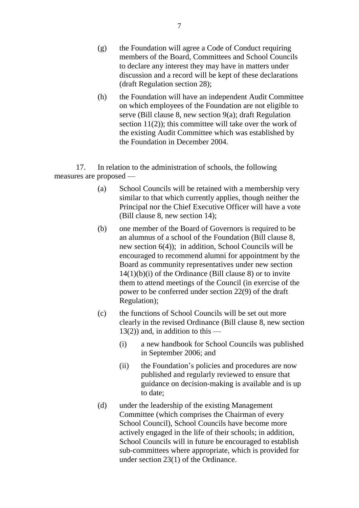- (g) the Foundation will agree a Code of Conduct requiring members of the Board, Committees and School Councils to declare any interest they may have in matters under discussion and a record will be kept of these declarations (draft Regulation section 28);
- (h) the Foundation will have an independent Audit Committee on which employees of the Foundation are not eligible to serve (Bill clause 8, new section 9(a); draft Regulation section 11(2)); this committee will take over the work of the existing Audit Committee which was established by the Foundation in December 2004.

17. In relation to the administration of schools, the following measures are proposed —

- (a) School Councils will be retained with a membership very similar to that which currently applies, though neither the Principal nor the Chief Executive Officer will have a vote (Bill clause 8, new section 14);
- (b) one member of the Board of Governors is required to be an alumnus of a school of the Foundation (Bill clause 8, new section 6(4)); in addition, School Councils will be encouraged to recommend alumni for appointment by the Board as community representatives under new section  $14(1)(b)(i)$  of the Ordinance (Bill clause 8) or to invite them to attend meetings of the Council (in exercise of the power to be conferred under section 22(9) of the draft Regulation);
- (c) the functions of School Councils will be set out more clearly in the revised Ordinance (Bill clause 8, new section  $13(2)$ ) and, in addition to this —
	- (i) a new handbook for School Councils was published in September 2006; and
	- (ii) the Foundation's policies and procedures are now published and regularly reviewed to ensure that guidance on decision-making is available and is up to date;
- (d) under the leadership of the existing Management Committee (which comprises the Chairman of every School Council), School Councils have become more actively engaged in the life of their schools; in addition, School Councils will in future be encouraged to establish sub-committees where appropriate, which is provided for under section 23(1) of the Ordinance.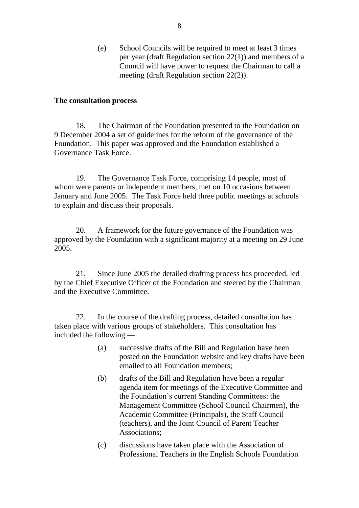(e) School Councils will be required to meet at least 3 times per year (draft Regulation section 22(1)) and members of a Council will have power to request the Chairman to call a meeting (draft Regulation section 22(2)).

#### **The consultation process**

18. The Chairman of the Foundation presented to the Foundation on 9 December 2004 a set of guidelines for the reform of the governance of the Foundation. This paper was approved and the Foundation established a Governance Task Force.

19. The Governance Task Force, comprising 14 people, most of whom were parents or independent members, met on 10 occasions between January and June 2005. The Task Force held three public meetings at schools to explain and discuss their proposals.

20. A framework for the future governance of the Foundation was approved by the Foundation with a significant majority at a meeting on 29 June 2005.

21. Since June 2005 the detailed drafting process has proceeded, led by the Chief Executive Officer of the Foundation and steered by the Chairman and the Executive Committee.

22. In the course of the drafting process, detailed consultation has taken place with various groups of stakeholders. This consultation has included the following —

- (a) successive drafts of the Bill and Regulation have been posted on the Foundation website and key drafts have been emailed to all Foundation members;
- (b) drafts of the Bill and Regulation have been a regular agenda item for meetings of the Executive Committee and the Foundation's current Standing Committees: the Management Committee (School Council Chairmen), the Academic Committee (Principals), the Staff Council (teachers), and the Joint Council of Parent Teacher Associations;
- (c) discussions have taken place with the Association of Professional Teachers in the English Schools Foundation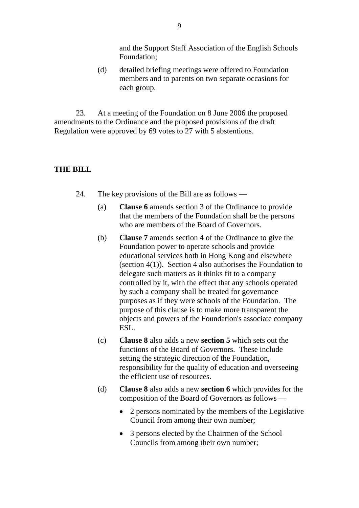and the Support Staff Association of the English Schools Foundation;

(d) detailed briefing meetings were offered to Foundation members and to parents on two separate occasions for each group.

23. At a meeting of the Foundation on 8 June 2006 the proposed amendments to the Ordinance and the proposed provisions of the draft Regulation were approved by 69 votes to 27 with 5 abstentions.

### **THE BILL**

- 24. The key provisions of the Bill are as follows
	- (a) **Clause 6** amends section 3 of the Ordinance to provide that the members of the Foundation shall be the persons who are members of the Board of Governors.
	- (b) **Clause 7** amends section 4 of the Ordinance to give the Foundation power to operate schools and provide educational services both in Hong Kong and elsewhere (section 4(1)). Section 4 also authorises the Foundation to delegate such matters as it thinks fit to a company controlled by it, with the effect that any schools operated by such a company shall be treated for governance purposes as if they were schools of the Foundation. The purpose of this clause is to make more transparent the objects and powers of the Foundation's associate company ESL.
	- (c) **Clause 8** also adds a new **section 5** which sets out the functions of the Board of Governors. These include setting the strategic direction of the Foundation, responsibility for the quality of education and overseeing the efficient use of resources.
	- (d) **Clause 8** also adds a new **section 6** which provides for the composition of the Board of Governors as follows —
		- 2 persons nominated by the members of the Legislative Council from among their own number;
		- 3 persons elected by the Chairmen of the School Councils from among their own number;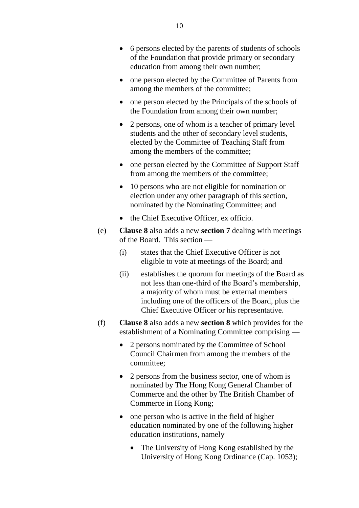- one person elected by the Committee of Parents from among the members of the committee;
- one person elected by the Principals of the schools of the Foundation from among their own number;
- 2 persons, one of whom is a teacher of primary level students and the other of secondary level students, elected by the Committee of Teaching Staff from among the members of the committee;
- one person elected by the Committee of Support Staff from among the members of the committee;
- 10 persons who are not eligible for nomination or election under any other paragraph of this section, nominated by the Nominating Committee; and
- the Chief Executive Officer, ex officio.
- (e) **Clause 8** also adds a new **section 7** dealing with meetings of the Board. This section —
	- (i) states that the Chief Executive Officer is not eligible to vote at meetings of the Board; and
	- (ii) establishes the quorum for meetings of the Board as not less than one-third of the Board's membership, a majority of whom must be external members including one of the officers of the Board, plus the Chief Executive Officer or his representative.
- (f) **Clause 8** also adds a new **section 8** which provides for the establishment of a Nominating Committee comprising —
	- 2 persons nominated by the Committee of School Council Chairmen from among the members of the committee;
	- 2 persons from the business sector, one of whom is nominated by The Hong Kong General Chamber of Commerce and the other by The British Chamber of Commerce in Hong Kong;
	- one person who is active in the field of higher education nominated by one of the following higher education institutions, namely —
		- The University of Hong Kong established by the University of Hong Kong Ordinance (Cap. 1053);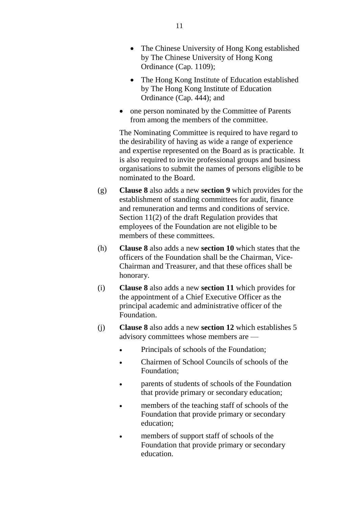- The Chinese University of Hong Kong established by The Chinese University of Hong Kong Ordinance (Cap. 1109);
- The Hong Kong Institute of Education established by The Hong Kong Institute of Education Ordinance (Cap. 444); and
- one person nominated by the Committee of Parents from among the members of the committee.

The Nominating Committee is required to have regard to the desirability of having as wide a range of experience and expertise represented on the Board as is practicable. It is also required to invite professional groups and business organisations to submit the names of persons eligible to be nominated to the Board.

- (g) **Clause 8** also adds a new **section 9** which provides for the establishment of standing committees for audit, finance and remuneration and terms and conditions of service. Section 11(2) of the draft Regulation provides that employees of the Foundation are not eligible to be members of these committees.
- (h) **Clause 8** also adds a new **section 10** which states that the officers of the Foundation shall be the Chairman, Vice-Chairman and Treasurer, and that these offices shall be honorary.
- (i) **Clause 8** also adds a new **section 11** which provides for the appointment of a Chief Executive Officer as the principal academic and administrative officer of the Foundation.
- (j) **Clause 8** also adds a new **section 12** which establishes 5 advisory committees whose members are —
	- Principals of schools of the Foundation;
	- Chairmen of School Councils of schools of the Foundation;
	- parents of students of schools of the Foundation that provide primary or secondary education;
	- **•** members of the teaching staff of schools of the Foundation that provide primary or secondary education;
	- members of support staff of schools of the Foundation that provide primary or secondary education.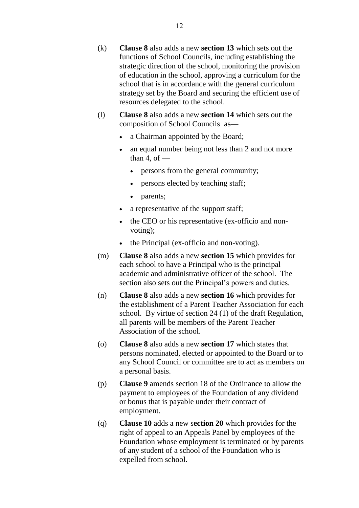- (k) **Clause 8** also adds a new **section 13** which sets out the functions of School Councils, including establishing the strategic direction of the school, monitoring the provision of education in the school, approving a curriculum for the school that is in accordance with the general curriculum strategy set by the Board and securing the efficient use of resources delegated to the school.
- (l) **Clause 8** also adds a new **section 14** which sets out the composition of School Councils as
	- a Chairman appointed by the Board;
	- an equal number being not less than 2 and not more than 4, of  $$ 
		- persons from the general community;
		- persons elected by teaching staff;
		- parents;
	- a representative of the support staff;
	- the CEO or his representative (ex-officio and nonvoting);
	- the Principal (ex-officio and non-voting).
- (m) **Clause 8** also adds a new **section 15** which provides for each school to have a Principal who is the principal academic and administrative officer of the school. The section also sets out the Principal's powers and duties.
- (n) **Clause 8** also adds a new **section 16** which provides for the establishment of a Parent Teacher Association for each school. By virtue of section 24 (1) of the draft Regulation, all parents will be members of the Parent Teacher Association of the school.
- (o) **Clause 8** also adds a new **section 17** which states that persons nominated, elected or appointed to the Board or to any School Council or committee are to act as members on a personal basis.
- (p) **Clause 9** amends section 18 of the Ordinance to allow the payment to employees of the Foundation of any dividend or bonus that is payable under their contract of employment.
- (q) **Clause 10** adds a new s**ection 20** which provides for the right of appeal to an Appeals Panel by employees of the Foundation whose employment is terminated or by parents of any student of a school of the Foundation who is expelled from school.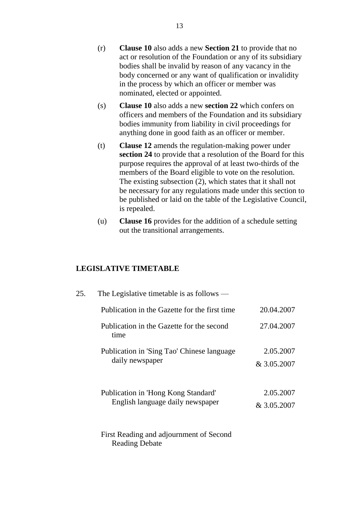- (r) **Clause 10** also adds a new **Section 21** to provide that no act or resolution of the Foundation or any of its subsidiary bodies shall be invalid by reason of any vacancy in the body concerned or any want of qualification or invalidity in the process by which an officer or member was nominated, elected or appointed.
- (s) **Clause 10** also adds a new **section 22** which confers on officers and members of the Foundation and its subsidiary bodies immunity from liability in civil proceedings for anything done in good faith as an officer or member.
- (t) **Clause 12** amends the regulation-making power under **section 24** to provide that a resolution of the Board for this purpose requires the approval of at least two-thirds of the members of the Board eligible to vote on the resolution. The existing subsection (2), which states that it shall not be necessary for any regulations made under this section to be published or laid on the table of the Legislative Council, is repealed.
- (u) **Clause 16** provides for the addition of a schedule setting out the transitional arrangements.

### **LEGISLATIVE TIMETABLE**

| 25. | The Legislative timetable is as follows $-$                             |                          |
|-----|-------------------------------------------------------------------------|--------------------------|
|     | Publication in the Gazette for the first time                           | 20.04.2007               |
|     | Publication in the Gazette for the second<br>time                       | 27.04.2007               |
|     | Publication in 'Sing Tao' Chinese language<br>daily newspaper           | 2.05.2007<br>& 3.05.2007 |
|     | Publication in 'Hong Kong Standard'<br>English language daily newspaper | 2.05.2007<br>& 3.05.2007 |
|     | First Reading and adjournment of Second<br><b>Reading Debate</b>        |                          |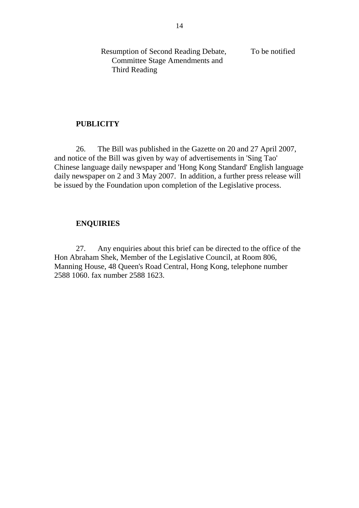Resumption of Second Reading Debate, Committee Stage Amendments and Third Reading To be notified

#### **PUBLICITY**

26. The Bill was published in the Gazette on 20 and 27 April 2007, and notice of the Bill was given by way of advertisements in 'Sing Tao' Chinese language daily newspaper and 'Hong Kong Standard' English language daily newspaper on 2 and 3 May 2007. In addition, a further press release will be issued by the Foundation upon completion of the Legislative process.

#### **ENQUIRIES**

27. Any enquiries about this brief can be directed to the office of the Hon Abraham Shek, Member of the Legislative Council, at Room 806, Manning House, 48 Queen's Road Central, Hong Kong, telephone number 2588 1060. fax number 2588 1623.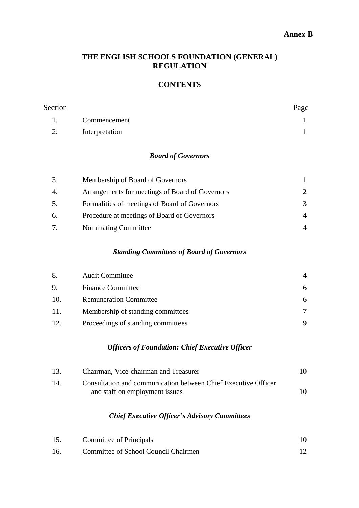#### **Annex B**

### **THE ENGLISH SCHOOLS FOUNDATION (GENERAL) REGULATION**

## **CONTENTS**

| Section |                | Page |
|---------|----------------|------|
|         | Commencement   |      |
| 2.      | Interpretation |      |

### *Board of Governors*

| 3. | Membership of Board of Governors                |               |
|----|-------------------------------------------------|---------------|
| 4. | Arrangements for meetings of Board of Governors | $\mathcal{L}$ |
| 5. | Formalities of meetings of Board of Governors   | 3             |
| 6. | Procedure at meetings of Board of Governors     | 4             |
| 7. | <b>Nominating Committee</b>                     |               |
|    |                                                 |               |

### *Standing Committees of Board of Governors*

| 8.  | <b>Audit Committee</b>             | 4 |
|-----|------------------------------------|---|
| 9.  | <b>Finance Committee</b>           | 6 |
| 10. | <b>Remuneration Committee</b>      | 6 |
| 11. | Membership of standing committees  |   |
| 12. | Proceedings of standing committees |   |

### *Officers of Foundation: Chief Executive Officer*

| 13. | Chairman, Vice-chairman and Treasurer                          | 10. |
|-----|----------------------------------------------------------------|-----|
| 14. | Consultation and communication between Chief Executive Officer |     |
|     | and staff on employment issues                                 | 10. |

### *Chief Executive Officer's Advisory Committees*

|    | Committee of Principals              |  |
|----|--------------------------------------|--|
| 16 | Committee of School Council Chairmen |  |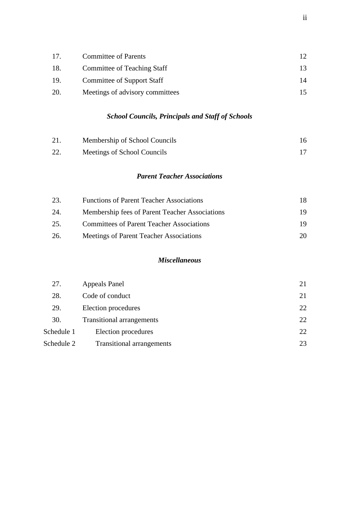| 17. | <b>Committee of Parents</b>     |    |
|-----|---------------------------------|----|
| 18. | Committee of Teaching Staff     |    |
| 19. | Committee of Support Staff      | 14 |
| 20. | Meetings of advisory committees |    |

# *School Councils, Principals and Staff of Schools*

| 21. | Membership of School Councils |  |
|-----|-------------------------------|--|
| 22. | Meetings of School Councils   |  |

## *Parent Teacher Associations*

| 23. | <b>Functions of Parent Teacher Associations</b>  |     |
|-----|--------------------------------------------------|-----|
| 24. | Membership fees of Parent Teacher Associations   | 19  |
| 25. | <b>Committees of Parent Teacher Associations</b> | 19  |
| 26. | Meetings of Parent Teacher Associations          | 20. |

#### *Miscellaneous*

| 27.        | Appeals Panel                    |    |
|------------|----------------------------------|----|
| 28.        | Code of conduct                  | 21 |
| 29.        | Election procedures              | 22 |
| 30.        | <b>Transitional arrangements</b> | 22 |
| Schedule 1 | Election procedures              | 22 |
| Schedule 2 | <b>Transitional arrangements</b> | 23 |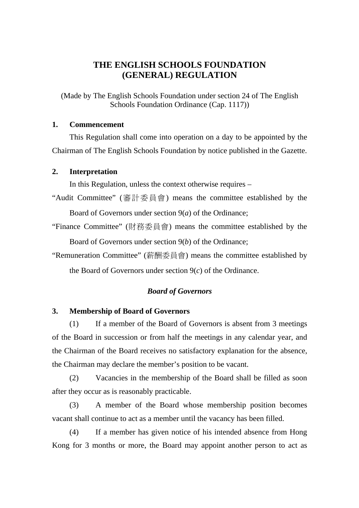## **THE ENGLISH SCHOOLS FOUNDATION (GENERAL) REGULATION**

(Made by The English Schools Foundation under section 24 of The English Schools Foundation Ordinance (Cap. 1117))

### **1. Commencement**

This Regulation shall come into operation on a day to be appointed by the Chairman of The English Schools Foundation by notice published in the Gazette.

#### **2. Interpretation**

In this Regulation, unless the context otherwise requires –

- "Audit Committee" (審計委員會) means the committee established by the Board of Governors under section 9(*a*) of the Ordinance;
- "Finance Committee" (財務委員會) means the committee established by the Board of Governors under section 9(*b*) of the Ordinance;

"Remuneration Committee" (薪酬委員會) means the committee established by the Board of Governors under section 9(*c*) of the Ordinance.

### *Board of Governors*

### **3. Membership of Board of Governors**

(1) If a member of the Board of Governors is absent from 3 meetings of the Board in succession or from half the meetings in any calendar year, and the Chairman of the Board receives no satisfactory explanation for the absence, the Chairman may declare the member's position to be vacant.

(2) Vacancies in the membership of the Board shall be filled as soon after they occur as is reasonably practicable.

(3) A member of the Board whose membership position becomes vacant shall continue to act as a member until the vacancy has been filled.

(4) If a member has given notice of his intended absence from Hong Kong for 3 months or more, the Board may appoint another person to act as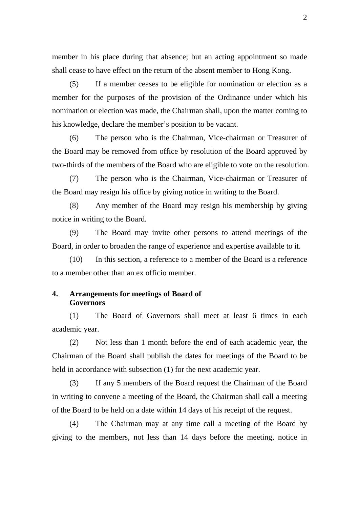member in his place during that absence; but an acting appointment so made shall cease to have effect on the return of the absent member to Hong Kong.

(5) If a member ceases to be eligible for nomination or election as a member for the purposes of the provision of the Ordinance under which his nomination or election was made, the Chairman shall, upon the matter coming to his knowledge, declare the member's position to be vacant.

(6) The person who is the Chairman, Vice-chairman or Treasurer of the Board may be removed from office by resolution of the Board approved by two-thirds of the members of the Board who are eligible to vote on the resolution.

(7) The person who is the Chairman, Vice-chairman or Treasurer of the Board may resign his office by giving notice in writing to the Board.

(8) Any member of the Board may resign his membership by giving notice in writing to the Board.

(9) The Board may invite other persons to attend meetings of the Board, in order to broaden the range of experience and expertise available to it.

(10) In this section, a reference to a member of the Board is a reference to a member other than an ex officio member.

### **4. Arrangements for meetings of Board of Governors**

(1) The Board of Governors shall meet at least 6 times in each academic year.

(2) Not less than 1 month before the end of each academic year, the Chairman of the Board shall publish the dates for meetings of the Board to be held in accordance with subsection (1) for the next academic year.

(3) If any 5 members of the Board request the Chairman of the Board in writing to convene a meeting of the Board, the Chairman shall call a meeting of the Board to be held on a date within 14 days of his receipt of the request.

(4) The Chairman may at any time call a meeting of the Board by giving to the members, not less than 14 days before the meeting, notice in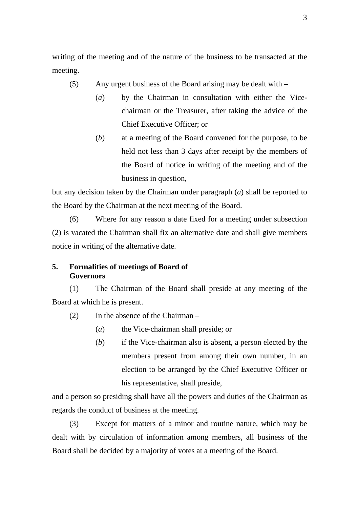writing of the meeting and of the nature of the business to be transacted at the meeting.

- (5) Any urgent business of the Board arising may be dealt with
	- (*a*) by the Chairman in consultation with either the Vicechairman or the Treasurer, after taking the advice of the Chief Executive Officer; or
	- (*b*) at a meeting of the Board convened for the purpose, to be held not less than 3 days after receipt by the members of the Board of notice in writing of the meeting and of the business in question,

but any decision taken by the Chairman under paragraph (*a*) shall be reported to the Board by the Chairman at the next meeting of the Board.

(6) Where for any reason a date fixed for a meeting under subsection (2) is vacated the Chairman shall fix an alternative date and shall give members notice in writing of the alternative date.

### **5. Formalities of meetings of Board of Governors**

(1) The Chairman of the Board shall preside at any meeting of the Board at which he is present.

- (2) In the absence of the Chairman
	- (*a*) the Vice-chairman shall preside; or
	- (*b*) if the Vice-chairman also is absent, a person elected by the members present from among their own number, in an election to be arranged by the Chief Executive Officer or his representative, shall preside,

and a person so presiding shall have all the powers and duties of the Chairman as regards the conduct of business at the meeting.

(3) Except for matters of a minor and routine nature, which may be dealt with by circulation of information among members, all business of the Board shall be decided by a majority of votes at a meeting of the Board.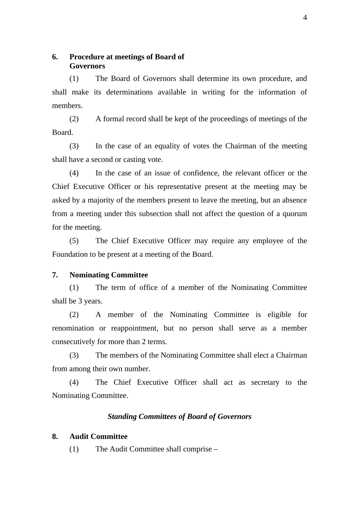**6. Procedure at meetings of Board of Governors** 

(1) The Board of Governors shall determine its own procedure, and shall make its determinations available in writing for the information of members.

(2) A formal record shall be kept of the proceedings of meetings of the Board.

(3) In the case of an equality of votes the Chairman of the meeting shall have a second or casting vote.

(4) In the case of an issue of confidence, the relevant officer or the Chief Executive Officer or his representative present at the meeting may be asked by a majority of the members present to leave the meeting, but an absence from a meeting under this subsection shall not affect the question of a quorum for the meeting.

(5) The Chief Executive Officer may require any employee of the Foundation to be present at a meeting of the Board.

#### **7. Nominating Committee**

(1) The term of office of a member of the Nominating Committee shall be 3 years.

(2) A member of the Nominating Committee is eligible for renomination or reappointment, but no person shall serve as a member consecutively for more than 2 terms.

(3) The members of the Nominating Committee shall elect a Chairman from among their own number.

(4) The Chief Executive Officer shall act as secretary to the Nominating Committee.

#### *Standing Committees of Board of Governors*

### **8. Audit Committee**

(1) The Audit Committee shall comprise –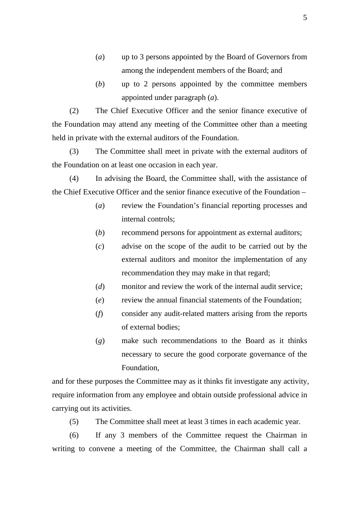- (*a*) up to 3 persons appointed by the Board of Governors from among the independent members of the Board; and
- (*b*) up to 2 persons appointed by the committee members appointed under paragraph (*a*).

(2) The Chief Executive Officer and the senior finance executive of the Foundation may attend any meeting of the Committee other than a meeting held in private with the external auditors of the Foundation.

(3) The Committee shall meet in private with the external auditors of the Foundation on at least one occasion in each year.

(4) In advising the Board, the Committee shall, with the assistance of the Chief Executive Officer and the senior finance executive of the Foundation –

- (*a*) review the Foundation's financial reporting processes and internal controls;
- (*b*) recommend persons for appointment as external auditors;
- (*c*) advise on the scope of the audit to be carried out by the external auditors and monitor the implementation of any recommendation they may make in that regard;
- (*d*) monitor and review the work of the internal audit service;
- (*e*) review the annual financial statements of the Foundation;
- (*f*) consider any audit-related matters arising from the reports of external bodies;
- (*g*) make such recommendations to the Board as it thinks necessary to secure the good corporate governance of the Foundation,

and for these purposes the Committee may as it thinks fit investigate any activity, require information from any employee and obtain outside professional advice in carrying out its activities.

(5) The Committee shall meet at least 3 times in each academic year.

(6) If any 3 members of the Committee request the Chairman in writing to convene a meeting of the Committee, the Chairman shall call a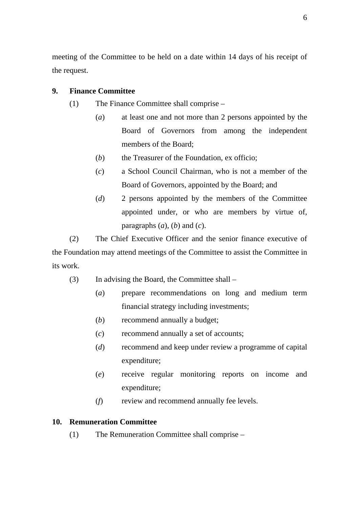meeting of the Committee to be held on a date within 14 days of his receipt of the request.

### **9. Finance Committee**

- (1) The Finance Committee shall comprise
	- (*a*) at least one and not more than 2 persons appointed by the Board of Governors from among the independent members of the Board;
	- (*b*) the Treasurer of the Foundation, ex officio;
	- (*c*) a School Council Chairman, who is not a member of the Board of Governors, appointed by the Board; and
	- (*d*) 2 persons appointed by the members of the Committee appointed under, or who are members by virtue of, paragraphs  $(a)$ ,  $(b)$  and  $(c)$ .

(2) The Chief Executive Officer and the senior finance executive of the Foundation may attend meetings of the Committee to assist the Committee in its work.

- (3) In advising the Board, the Committee shall
	- (*a*) prepare recommendations on long and medium term financial strategy including investments;
	- (*b*) recommend annually a budget;
	- (*c*) recommend annually a set of accounts;
	- (*d*) recommend and keep under review a programme of capital expenditure;
	- (*e*) receive regular monitoring reports on income and expenditure;
	- (*f*) review and recommend annually fee levels.

### **10. Remuneration Committee**

(1) The Remuneration Committee shall comprise –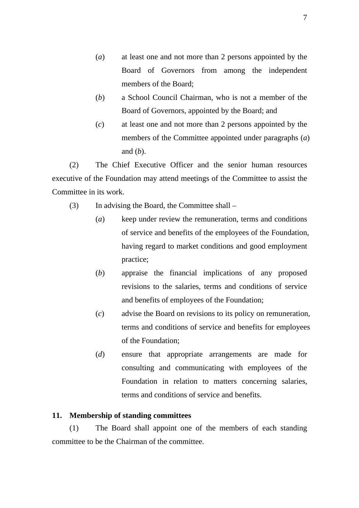- (*a*) at least one and not more than 2 persons appointed by the Board of Governors from among the independent members of the Board;
- (*b*) a School Council Chairman, who is not a member of the Board of Governors, appointed by the Board; and
- (*c*) at least one and not more than 2 persons appointed by the members of the Committee appointed under paragraphs (*a*) and (*b*).

(2) The Chief Executive Officer and the senior human resources executive of the Foundation may attend meetings of the Committee to assist the Committee in its work.

- (3) In advising the Board, the Committee shall
	- (*a*) keep under review the remuneration, terms and conditions of service and benefits of the employees of the Foundation, having regard to market conditions and good employment practice;
	- (*b*) appraise the financial implications of any proposed revisions to the salaries, terms and conditions of service and benefits of employees of the Foundation;
	- (*c*) advise the Board on revisions to its policy on remuneration, terms and conditions of service and benefits for employees of the Foundation;
	- (*d*) ensure that appropriate arrangements are made for consulting and communicating with employees of the Foundation in relation to matters concerning salaries, terms and conditions of service and benefits.

#### **11. Membership of standing committees**

(1) The Board shall appoint one of the members of each standing committee to be the Chairman of the committee.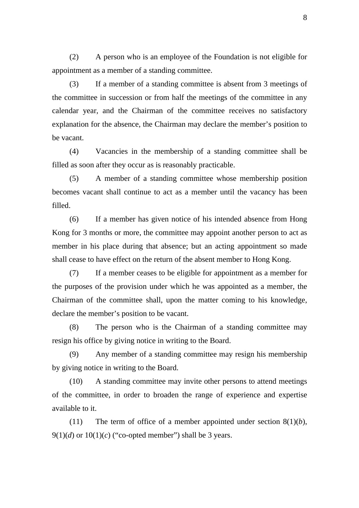(2) A person who is an employee of the Foundation is not eligible for appointment as a member of a standing committee.

(3) If a member of a standing committee is absent from 3 meetings of the committee in succession or from half the meetings of the committee in any calendar year, and the Chairman of the committee receives no satisfactory explanation for the absence, the Chairman may declare the member's position to be vacant.

(4) Vacancies in the membership of a standing committee shall be filled as soon after they occur as is reasonably practicable.

(5) A member of a standing committee whose membership position becomes vacant shall continue to act as a member until the vacancy has been filled.

(6) If a member has given notice of his intended absence from Hong Kong for 3 months or more, the committee may appoint another person to act as member in his place during that absence; but an acting appointment so made shall cease to have effect on the return of the absent member to Hong Kong.

(7) If a member ceases to be eligible for appointment as a member for the purposes of the provision under which he was appointed as a member, the Chairman of the committee shall, upon the matter coming to his knowledge, declare the member's position to be vacant.

(8) The person who is the Chairman of a standing committee may resign his office by giving notice in writing to the Board.

(9) Any member of a standing committee may resign his membership by giving notice in writing to the Board.

(10) A standing committee may invite other persons to attend meetings of the committee, in order to broaden the range of experience and expertise available to it.

(11) The term of office of a member appointed under section  $8(1)(b)$ ,  $9(1)(d)$  or  $10(1)(c)$  ("co-opted member") shall be 3 years.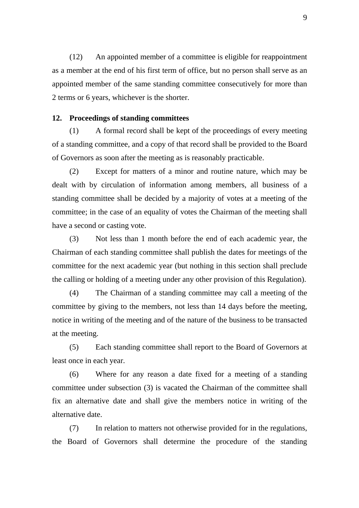(12) An appointed member of a committee is eligible for reappointment as a member at the end of his first term of office, but no person shall serve as an appointed member of the same standing committee consecutively for more than 2 terms or 6 years, whichever is the shorter.

#### **12. Proceedings of standing committees**

(1) A formal record shall be kept of the proceedings of every meeting of a standing committee, and a copy of that record shall be provided to the Board of Governors as soon after the meeting as is reasonably practicable.

(2) Except for matters of a minor and routine nature, which may be dealt with by circulation of information among members, all business of a standing committee shall be decided by a majority of votes at a meeting of the committee; in the case of an equality of votes the Chairman of the meeting shall have a second or casting vote.

(3) Not less than 1 month before the end of each academic year, the Chairman of each standing committee shall publish the dates for meetings of the committee for the next academic year (but nothing in this section shall preclude the calling or holding of a meeting under any other provision of this Regulation).

(4) The Chairman of a standing committee may call a meeting of the committee by giving to the members, not less than 14 days before the meeting, notice in writing of the meeting and of the nature of the business to be transacted at the meeting.

(5) Each standing committee shall report to the Board of Governors at least once in each year.

(6) Where for any reason a date fixed for a meeting of a standing committee under subsection (3) is vacated the Chairman of the committee shall fix an alternative date and shall give the members notice in writing of the alternative date.

(7) In relation to matters not otherwise provided for in the regulations, the Board of Governors shall determine the procedure of the standing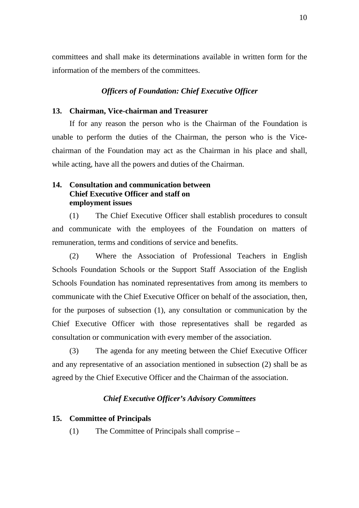committees and shall make its determinations available in written form for the information of the members of the committees.

#### *Officers of Foundation: Chief Executive Officer*

### **13. Chairman, Vice-chairman and Treasurer**

If for any reason the person who is the Chairman of the Foundation is unable to perform the duties of the Chairman, the person who is the Vicechairman of the Foundation may act as the Chairman in his place and shall, while acting, have all the powers and duties of the Chairman.

### **14. Consultation and communication between Chief Executive Officer and staff on employment issues**

(1) The Chief Executive Officer shall establish procedures to consult and communicate with the employees of the Foundation on matters of remuneration, terms and conditions of service and benefits.

(2) Where the Association of Professional Teachers in English Schools Foundation Schools or the Support Staff Association of the English Schools Foundation has nominated representatives from among its members to communicate with the Chief Executive Officer on behalf of the association, then, for the purposes of subsection (1), any consultation or communication by the Chief Executive Officer with those representatives shall be regarded as consultation or communication with every member of the association.

(3) The agenda for any meeting between the Chief Executive Officer and any representative of an association mentioned in subsection (2) shall be as agreed by the Chief Executive Officer and the Chairman of the association.

#### *Chief Executive Officer's Advisory Committees*

#### **15. Committee of Principals**

(1) The Committee of Principals shall comprise –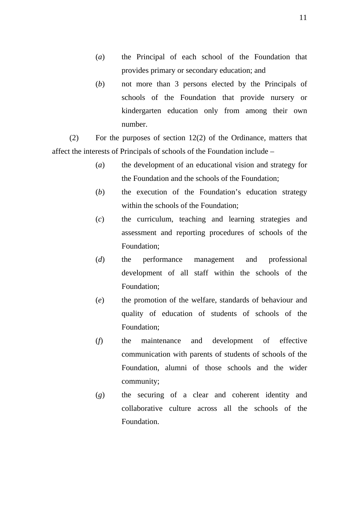- (*a*) the Principal of each school of the Foundation that provides primary or secondary education; and
- (*b*) not more than 3 persons elected by the Principals of schools of the Foundation that provide nursery or kindergarten education only from among their own number.

(2) For the purposes of section 12(2) of the Ordinance, matters that affect the interests of Principals of schools of the Foundation include –

- (*a*) the development of an educational vision and strategy for the Foundation and the schools of the Foundation;
- (*b*) the execution of the Foundation's education strategy within the schools of the Foundation;
- (*c*) the curriculum, teaching and learning strategies and assessment and reporting procedures of schools of the Foundation;
- (*d*) the performance management and professional development of all staff within the schools of the Foundation;
- (*e*) the promotion of the welfare, standards of behaviour and quality of education of students of schools of the Foundation;
- (*f*) the maintenance and development of effective communication with parents of students of schools of the Foundation, alumni of those schools and the wider community;
- (*g*) the securing of a clear and coherent identity and collaborative culture across all the schools of the Foundation.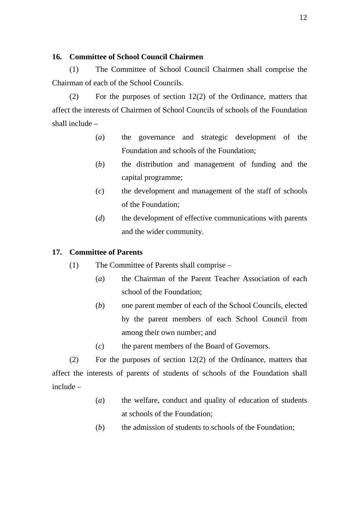### **16. Committee of School Council Chairmen**

(1) The Committee of School Council Chairmen shall comprise the Chairman of each of the School Councils.

(2) For the purposes of section 12(2) of the Ordinance, matters that affect the interests of Chairmen of School Councils of schools of the Foundation shall include –

- (*a*) the governance and strategic development of the Foundation and schools of the Foundation;
- (*b*) the distribution and management of funding and the capital programme;
- (*c*) the development and management of the staff of schools of the Foundation;
- (*d*) the development of effective communications with parents and the wider community.

### **17. Committee of Parents**

- (1) The Committee of Parents shall comprise
	- (*a*) the Chairman of the Parent Teacher Association of each school of the Foundation;
	- (*b*) one parent member of each of the School Councils, elected by the parent members of each School Council from among their own number; and
	- (*c*) the parent members of the Board of Governors.

(2) For the purposes of section 12(2) of the Ordinance, matters that affect the interests of parents of students of schools of the Foundation shall include –

- (*a*) the welfare, conduct and quality of education of students at schools of the Foundation;
- (*b*) the admission of students to schools of the Foundation;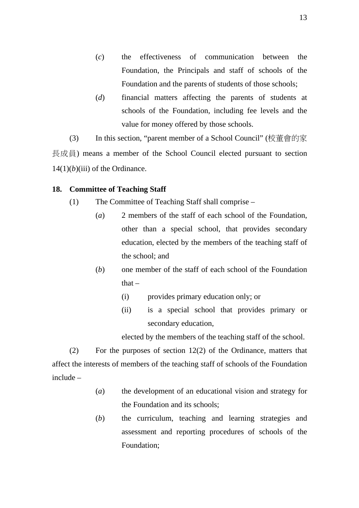- (*c*) the effectiveness of communication between the Foundation, the Principals and staff of schools of the Foundation and the parents of students of those schools;
- (*d*) financial matters affecting the parents of students at schools of the Foundation, including fee levels and the value for money offered by those schools.

(3) In this section, "parent member of a School Council" (校董會的家 長成員) means a member of the School Council elected pursuant to section  $14(1)(b)$ (iii) of the Ordinance.

### **18. Committee of Teaching Staff**

- (1) The Committee of Teaching Staff shall comprise
	- (*a*) 2 members of the staff of each school of the Foundation, other than a special school, that provides secondary education, elected by the members of the teaching staff of the school; and
	- (*b*) one member of the staff of each school of the Foundation  $that -$ 
		- (i) provides primary education only; or
		- (ii) is a special school that provides primary or secondary education,

elected by the members of the teaching staff of the school.

(2) For the purposes of section 12(2) of the Ordinance, matters that affect the interests of members of the teaching staff of schools of the Foundation include –

- (*a*) the development of an educational vision and strategy for the Foundation and its schools;
- (*b*) the curriculum, teaching and learning strategies and assessment and reporting procedures of schools of the Foundation;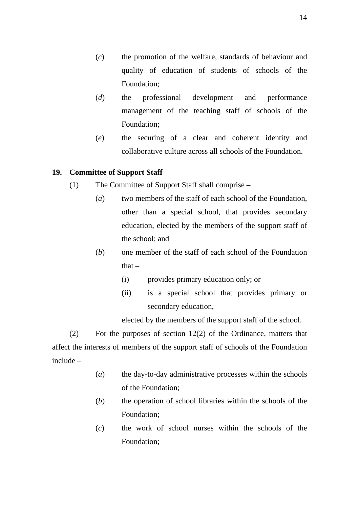14

- (*c*) the promotion of the welfare, standards of behaviour and quality of education of students of schools of the Foundation;
- (*d*) the professional development and performance management of the teaching staff of schools of the Foundation;
- (*e*) the securing of a clear and coherent identity and collaborative culture across all schools of the Foundation.

### **19. Committee of Support Staff**

- (1) The Committee of Support Staff shall comprise
	- (*a*) two members of the staff of each school of the Foundation, other than a special school, that provides secondary education, elected by the members of the support staff of the school; and
	- (*b*) one member of the staff of each school of the Foundation that  $-$ 
		- (i) provides primary education only; or
		- (ii) is a special school that provides primary or secondary education,

elected by the members of the support staff of the school.

(2) For the purposes of section 12(2) of the Ordinance, matters that affect the interests of members of the support staff of schools of the Foundation include –

- (*a*) the day-to-day administrative processes within the schools of the Foundation;
- (*b*) the operation of school libraries within the schools of the Foundation;
- (*c*) the work of school nurses within the schools of the Foundation;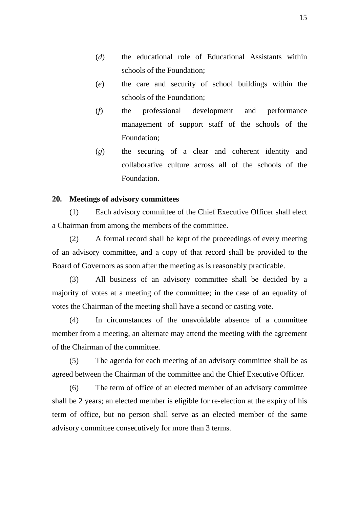- (*d*) the educational role of Educational Assistants within schools of the Foundation;
- (*e*) the care and security of school buildings within the schools of the Foundation;
- (*f*) the professional development and performance management of support staff of the schools of the Foundation;
- (*g*) the securing of a clear and coherent identity and collaborative culture across all of the schools of the Foundation.

#### **20. Meetings of advisory committees**

(1) Each advisory committee of the Chief Executive Officer shall elect a Chairman from among the members of the committee.

(2) A formal record shall be kept of the proceedings of every meeting of an advisory committee, and a copy of that record shall be provided to the Board of Governors as soon after the meeting as is reasonably practicable.

(3) All business of an advisory committee shall be decided by a majority of votes at a meeting of the committee; in the case of an equality of votes the Chairman of the meeting shall have a second or casting vote.

(4) In circumstances of the unavoidable absence of a committee member from a meeting, an alternate may attend the meeting with the agreement of the Chairman of the committee.

(5) The agenda for each meeting of an advisory committee shall be as agreed between the Chairman of the committee and the Chief Executive Officer.

(6) The term of office of an elected member of an advisory committee shall be 2 years; an elected member is eligible for re-election at the expiry of his term of office, but no person shall serve as an elected member of the same advisory committee consecutively for more than 3 terms.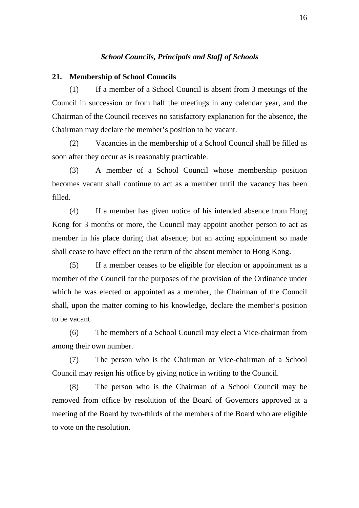#### *School Councils, Principals and Staff of Schools*

#### **21. Membership of School Councils**

(1) If a member of a School Council is absent from 3 meetings of the Council in succession or from half the meetings in any calendar year, and the Chairman of the Council receives no satisfactory explanation for the absence, the Chairman may declare the member's position to be vacant.

(2) Vacancies in the membership of a School Council shall be filled as soon after they occur as is reasonably practicable.

(3) A member of a School Council whose membership position becomes vacant shall continue to act as a member until the vacancy has been filled.

(4) If a member has given notice of his intended absence from Hong Kong for 3 months or more, the Council may appoint another person to act as member in his place during that absence; but an acting appointment so made shall cease to have effect on the return of the absent member to Hong Kong.

(5) If a member ceases to be eligible for election or appointment as a member of the Council for the purposes of the provision of the Ordinance under which he was elected or appointed as a member, the Chairman of the Council shall, upon the matter coming to his knowledge, declare the member's position to be vacant.

(6) The members of a School Council may elect a Vice-chairman from among their own number.

(7) The person who is the Chairman or Vice-chairman of a School Council may resign his office by giving notice in writing to the Council.

(8) The person who is the Chairman of a School Council may be removed from office by resolution of the Board of Governors approved at a meeting of the Board by two-thirds of the members of the Board who are eligible to vote on the resolution.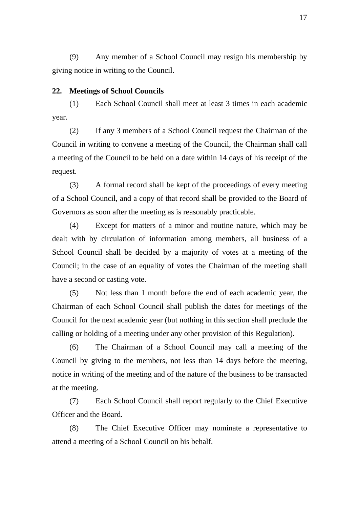(9) Any member of a School Council may resign his membership by giving notice in writing to the Council.

#### **22. Meetings of School Councils**

(1) Each School Council shall meet at least 3 times in each academic year.

(2) If any 3 members of a School Council request the Chairman of the Council in writing to convene a meeting of the Council, the Chairman shall call a meeting of the Council to be held on a date within 14 days of his receipt of the request.

(3) A formal record shall be kept of the proceedings of every meeting of a School Council, and a copy of that record shall be provided to the Board of Governors as soon after the meeting as is reasonably practicable.

(4) Except for matters of a minor and routine nature, which may be dealt with by circulation of information among members, all business of a School Council shall be decided by a majority of votes at a meeting of the Council; in the case of an equality of votes the Chairman of the meeting shall have a second or casting vote.

(5) Not less than 1 month before the end of each academic year, the Chairman of each School Council shall publish the dates for meetings of the Council for the next academic year (but nothing in this section shall preclude the calling or holding of a meeting under any other provision of this Regulation).

(6) The Chairman of a School Council may call a meeting of the Council by giving to the members, not less than 14 days before the meeting, notice in writing of the meeting and of the nature of the business to be transacted at the meeting.

(7) Each School Council shall report regularly to the Chief Executive Officer and the Board.

(8) The Chief Executive Officer may nominate a representative to attend a meeting of a School Council on his behalf.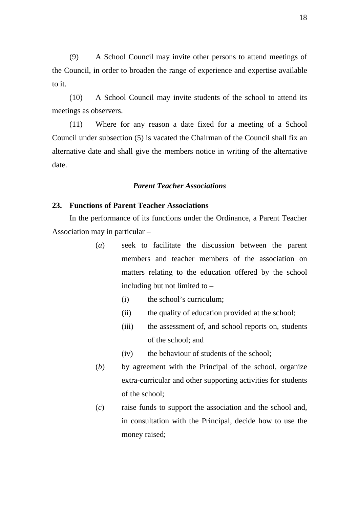(9) A School Council may invite other persons to attend meetings of the Council, in order to broaden the range of experience and expertise available to it.

(10) A School Council may invite students of the school to attend its meetings as observers.

(11) Where for any reason a date fixed for a meeting of a School Council under subsection (5) is vacated the Chairman of the Council shall fix an alternative date and shall give the members notice in writing of the alternative date.

#### *Parent Teacher Associations*

#### **23. Functions of Parent Teacher Associations**

In the performance of its functions under the Ordinance, a Parent Teacher Association may in particular –

- (*a*) seek to facilitate the discussion between the parent members and teacher members of the association on matters relating to the education offered by the school including but not limited to –
	- (i) the school's curriculum;
	- (ii) the quality of education provided at the school;
	- (iii) the assessment of, and school reports on, students of the school; and
	- (iv) the behaviour of students of the school;
- (*b*) by agreement with the Principal of the school, organize extra-curricular and other supporting activities for students of the school;
- (*c*) raise funds to support the association and the school and, in consultation with the Principal, decide how to use the money raised;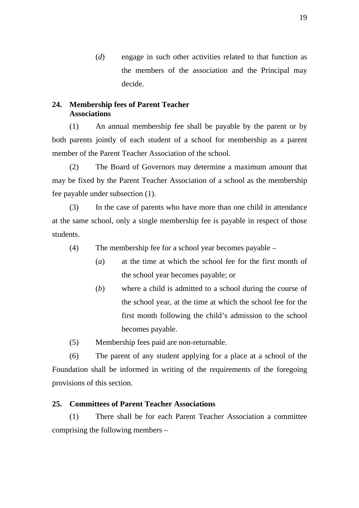(*d*) engage in such other activities related to that function as the members of the association and the Principal may decide.

### **24. Membership fees of Parent Teacher Associations**

(1) An annual membership fee shall be payable by the parent or by both parents jointly of each student of a school for membership as a parent member of the Parent Teacher Association of the school.

(2) The Board of Governors may determine a maximum amount that may be fixed by the Parent Teacher Association of a school as the membership fee payable under subsection (1).

(3) In the case of parents who have more than one child in attendance at the same school, only a single membership fee is payable in respect of those students.

- (4) The membership fee for a school year becomes payable
	- (*a*) at the time at which the school fee for the first month of the school year becomes payable; or
	- (*b*) where a child is admitted to a school during the course of the school year, at the time at which the school fee for the first month following the child's admission to the school becomes payable.
- (5) Membership fees paid are non-returnable.

(6) The parent of any student applying for a place at a school of the Foundation shall be informed in writing of the requirements of the foregoing provisions of this section.

### **25. Committees of Parent Teacher Associations**

(1) There shall be for each Parent Teacher Association a committee comprising the following members –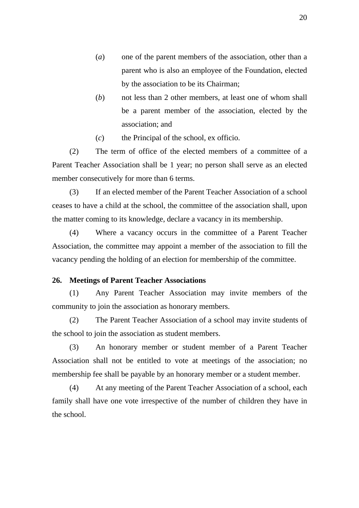- (*a*) one of the parent members of the association, other than a parent who is also an employee of the Foundation, elected by the association to be its Chairman;
- (*b*) not less than 2 other members, at least one of whom shall be a parent member of the association, elected by the association; and
- (*c*) the Principal of the school, ex officio.

(2) The term of office of the elected members of a committee of a Parent Teacher Association shall be 1 year; no person shall serve as an elected member consecutively for more than 6 terms.

(3) If an elected member of the Parent Teacher Association of a school ceases to have a child at the school, the committee of the association shall, upon the matter coming to its knowledge, declare a vacancy in its membership.

(4) Where a vacancy occurs in the committee of a Parent Teacher Association, the committee may appoint a member of the association to fill the vacancy pending the holding of an election for membership of the committee.

#### **26. Meetings of Parent Teacher Associations**

(1) Any Parent Teacher Association may invite members of the community to join the association as honorary members.

(2) The Parent Teacher Association of a school may invite students of the school to join the association as student members.

(3) An honorary member or student member of a Parent Teacher Association shall not be entitled to vote at meetings of the association; no membership fee shall be payable by an honorary member or a student member.

(4) At any meeting of the Parent Teacher Association of a school, each family shall have one vote irrespective of the number of children they have in the school.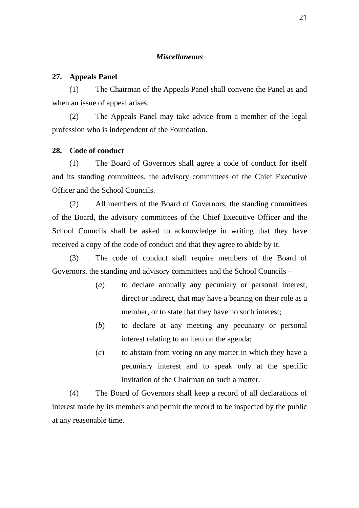### *Miscellaneous*

#### **27. Appeals Panel**

(1) The Chairman of the Appeals Panel shall convene the Panel as and when an issue of appeal arises.

(2) The Appeals Panel may take advice from a member of the legal profession who is independent of the Foundation.

#### **28. Code of conduct**

(1) The Board of Governors shall agree a code of conduct for itself and its standing committees, the advisory committees of the Chief Executive Officer and the School Councils.

(2) All members of the Board of Governors, the standing committees of the Board, the advisory committees of the Chief Executive Officer and the School Councils shall be asked to acknowledge in writing that they have received a copy of the code of conduct and that they agree to abide by it.

(3) The code of conduct shall require members of the Board of Governors, the standing and advisory committees and the School Councils –

- (*a*) to declare annually any pecuniary or personal interest, direct or indirect, that may have a bearing on their role as a member, or to state that they have no such interest;
- (*b*) to declare at any meeting any pecuniary or personal interest relating to an item on the agenda;
- (*c*) to abstain from voting on any matter in which they have a pecuniary interest and to speak only at the specific invitation of the Chairman on such a matter.

(4) The Board of Governors shall keep a record of all declarations of interest made by its members and permit the record to be inspected by the public at any reasonable time.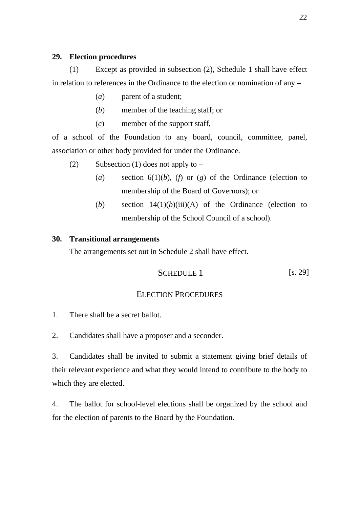### **29. Election procedures**

(1) Except as provided in subsection (2), Schedule 1 shall have effect in relation to references in the Ordinance to the election or nomination of any –

- (*a*) parent of a student;
- (*b*) member of the teaching staff; or
- (*c*) member of the support staff,

of a school of the Foundation to any board, council, committee, panel, association or other body provided for under the Ordinance.

- (2) Subsection (1) does not apply to  $-$ 
	- (*a*) section 6(1)(*b*), (*f*) or (*g*) of the Ordinance (election to membership of the Board of Governors); or
	- (*b*) section 14(1)(*b*)(iii)(A) of the Ordinance (election to membership of the School Council of a school).

### **30. Transitional arrangements**

The arrangements set out in Schedule 2 shall have effect.

$$
SCHEDULE 1
$$
 [s. 29]

### ELECTION PROCEDURES

- 1. There shall be a secret ballot.
- 2. Candidates shall have a proposer and a seconder.

3. Candidates shall be invited to submit a statement giving brief details of their relevant experience and what they would intend to contribute to the body to which they are elected.

4. The ballot for school-level elections shall be organized by the school and for the election of parents to the Board by the Foundation.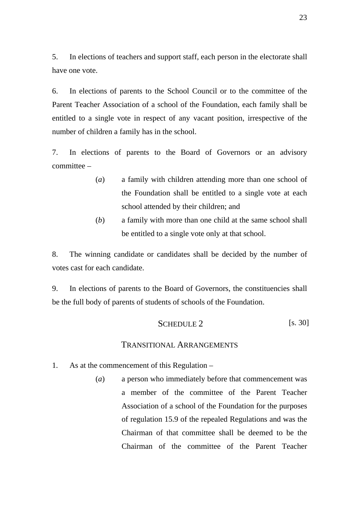5. In elections of teachers and support staff, each person in the electorate shall have one vote.

6. In elections of parents to the School Council or to the committee of the Parent Teacher Association of a school of the Foundation, each family shall be entitled to a single vote in respect of any vacant position, irrespective of the number of children a family has in the school.

7. In elections of parents to the Board of Governors or an advisory committee –

- (*a*) a family with children attending more than one school of the Foundation shall be entitled to a single vote at each school attended by their children; and
- (*b*) a family with more than one child at the same school shall be entitled to a single vote only at that school.

8. The winning candidate or candidates shall be decided by the number of votes cast for each candidate.

9. In elections of parents to the Board of Governors, the constituencies shall be the full body of parents of students of schools of the Foundation.

SCHEDULE 2 [s. 30]

#### TRANSITIONAL ARRANGEMENTS

- 1. As at the commencement of this Regulation
	- (*a*) a person who immediately before that commencement was a member of the committee of the Parent Teacher Association of a school of the Foundation for the purposes of regulation 15.9 of the repealed Regulations and was the Chairman of that committee shall be deemed to be the Chairman of the committee of the Parent Teacher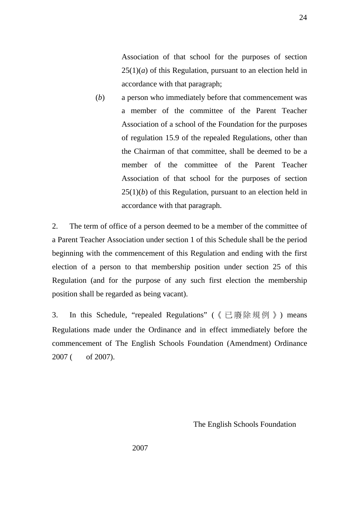Association of that school for the purposes of section  $25(1)(a)$  of this Regulation, pursuant to an election held in accordance with that paragraph;

(*b*) a person who immediately before that commencement was a member of the committee of the Parent Teacher Association of a school of the Foundation for the purposes of regulation 15.9 of the repealed Regulations, other than the Chairman of that committee, shall be deemed to be a member of the committee of the Parent Teacher Association of that school for the purposes of section  $25(1)(b)$  of this Regulation, pursuant to an election held in accordance with that paragraph.

2. The term of office of a person deemed to be a member of the committee of a Parent Teacher Association under section 1 of this Schedule shall be the period beginning with the commencement of this Regulation and ending with the first election of a person to that membership position under section 25 of this Regulation (and for the purpose of any such first election the membership position shall be regarded as being vacant).

3. In this Schedule, "repealed Regulations" (《已廢除規例》) means Regulations made under the Ordinance and in effect immediately before the commencement of The English Schools Foundation (Amendment) Ordinance 2007 ( of 2007).

The English Schools Foundation

2007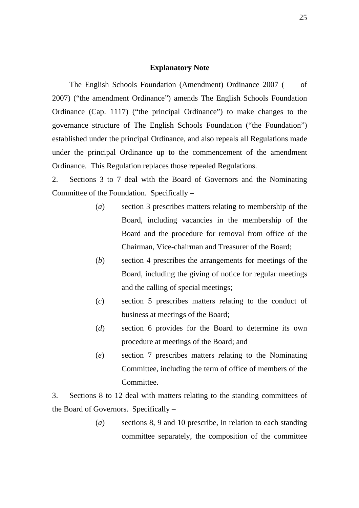#### **Explanatory Note**

The English Schools Foundation (Amendment) Ordinance 2007 ( of 2007) ("the amendment Ordinance") amends The English Schools Foundation Ordinance (Cap. 1117) ("the principal Ordinance") to make changes to the governance structure of The English Schools Foundation ("the Foundation") established under the principal Ordinance, and also repeals all Regulations made under the principal Ordinance up to the commencement of the amendment Ordinance. This Regulation replaces those repealed Regulations.

2. Sections 3 to 7 deal with the Board of Governors and the Nominating Committee of the Foundation. Specifically –

- (*a*) section 3 prescribes matters relating to membership of the Board, including vacancies in the membership of the Board and the procedure for removal from office of the Chairman, Vice-chairman and Treasurer of the Board;
- (*b*) section 4 prescribes the arrangements for meetings of the Board, including the giving of notice for regular meetings and the calling of special meetings;
- (*c*) section 5 prescribes matters relating to the conduct of business at meetings of the Board;
- (*d*) section 6 provides for the Board to determine its own procedure at meetings of the Board; and
- (*e*) section 7 prescribes matters relating to the Nominating Committee, including the term of office of members of the Committee.

3. Sections 8 to 12 deal with matters relating to the standing committees of the Board of Governors. Specifically –

> (*a*) sections 8, 9 and 10 prescribe, in relation to each standing committee separately, the composition of the committee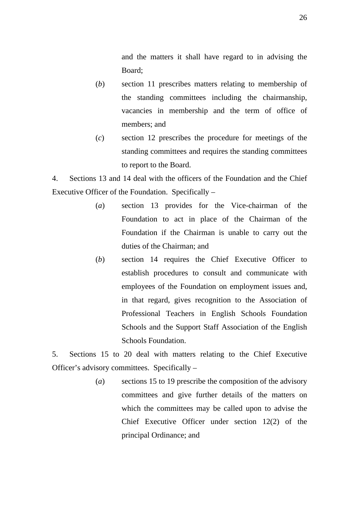and the matters it shall have regard to in advising the Board;

- (*b*) section 11 prescribes matters relating to membership of the standing committees including the chairmanship, vacancies in membership and the term of office of members; and
- (*c*) section 12 prescribes the procedure for meetings of the standing committees and requires the standing committees to report to the Board.

4. Sections 13 and 14 deal with the officers of the Foundation and the Chief Executive Officer of the Foundation. Specifically –

- (*a*) section 13 provides for the Vice-chairman of the Foundation to act in place of the Chairman of the Foundation if the Chairman is unable to carry out the duties of the Chairman; and
- (*b*) section 14 requires the Chief Executive Officer to establish procedures to consult and communicate with employees of the Foundation on employment issues and, in that regard, gives recognition to the Association of Professional Teachers in English Schools Foundation Schools and the Support Staff Association of the English Schools Foundation.

5. Sections 15 to 20 deal with matters relating to the Chief Executive Officer's advisory committees. Specifically –

> (*a*) sections 15 to 19 prescribe the composition of the advisory committees and give further details of the matters on which the committees may be called upon to advise the Chief Executive Officer under section 12(2) of the principal Ordinance; and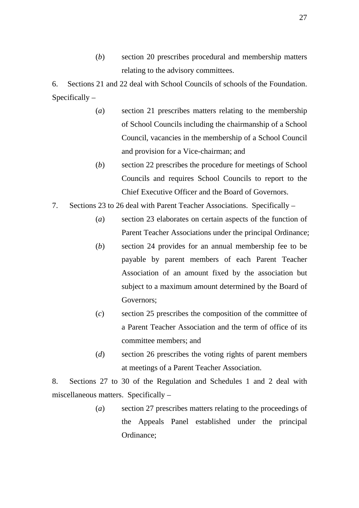(*b*) section 20 prescribes procedural and membership matters relating to the advisory committees.

6. Sections 21 and 22 deal with School Councils of schools of the Foundation. Specifically –

- (*a*) section 21 prescribes matters relating to the membership of School Councils including the chairmanship of a School Council, vacancies in the membership of a School Council and provision for a Vice-chairman; and
- (*b*) section 22 prescribes the procedure for meetings of School Councils and requires School Councils to report to the Chief Executive Officer and the Board of Governors.
- 7. Sections 23 to 26 deal with Parent Teacher Associations. Specifically
	- (*a*) section 23 elaborates on certain aspects of the function of Parent Teacher Associations under the principal Ordinance;
	- (*b*) section 24 provides for an annual membership fee to be payable by parent members of each Parent Teacher Association of an amount fixed by the association but subject to a maximum amount determined by the Board of Governors;
	- (*c*) section 25 prescribes the composition of the committee of a Parent Teacher Association and the term of office of its committee members; and
	- (*d*) section 26 prescribes the voting rights of parent members at meetings of a Parent Teacher Association.

8. Sections 27 to 30 of the Regulation and Schedules 1 and 2 deal with miscellaneous matters. Specifically –

> (*a*) section 27 prescribes matters relating to the proceedings of the Appeals Panel established under the principal Ordinance;